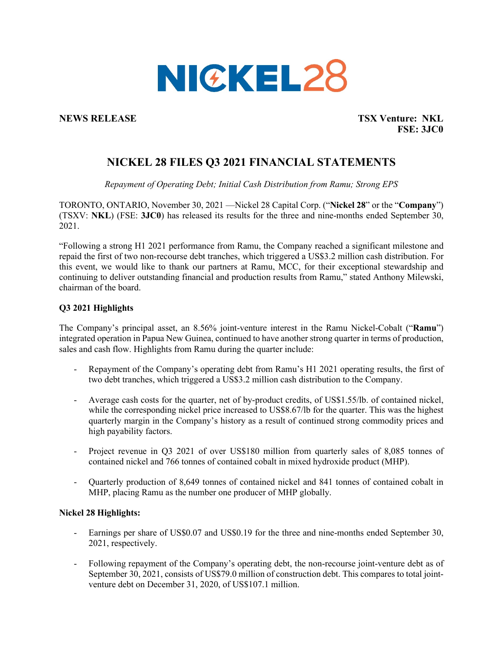

**NEWS RELEASE TSX Venture: NKL FSE: 3JC0**

# **NICKEL 28 FILES Q3 2021 FINANCIAL STATEMENTS**

*Repayment of Operating Debt; Initial Cash Distribution from Ramu; Strong EPS*

TORONTO, ONTARIO, November 30, 2021 —Nickel 28 Capital Corp. ("**Nickel 28**" or the "**Company**") (TSXV: **NKL**) (FSE: **3JC0**) has released its results for the three and nine-months ended September 30, 2021.

"Following a strong H1 2021 performance from Ramu, the Company reached a significant milestone and repaid the first of two non-recourse debt tranches, which triggered a US\$3.2 million cash distribution. For this event, we would like to thank our partners at Ramu, MCC, for their exceptional stewardship and continuing to deliver outstanding financial and production results from Ramu," stated Anthony Milewski, chairman of the board.

# **Q3 2021 Highlights**

The Company's principal asset, an 8.56% joint-venture interest in the Ramu Nickel-Cobalt ("**Ramu**") integrated operation in Papua New Guinea, continued to have another strong quarter in terms of production, sales and cash flow. Highlights from Ramu during the quarter include:

- Repayment of the Company's operating debt from Ramu's H1 2021 operating results, the first of two debt tranches, which triggered a US\$3.2 million cash distribution to the Company.
- Average cash costs for the quarter, net of by-product credits, of US\$1.55/lb. of contained nickel, while the corresponding nickel price increased to US\$8.67/lb for the quarter. This was the highest quarterly margin in the Company's history as a result of continued strong commodity prices and high payability factors.
- Project revenue in Q3 2021 of over US\$180 million from quarterly sales of 8,085 tonnes of contained nickel and 766 tonnes of contained cobalt in mixed hydroxide product (MHP).
- Quarterly production of 8,649 tonnes of contained nickel and 841 tonnes of contained cobalt in MHP, placing Ramu as the number one producer of MHP globally.

## **Nickel 28 Highlights:**

- Earnings per share of US\$0.07 and US\$0.19 for the three and nine-months ended September 30, 2021, respectively.
- Following repayment of the Company's operating debt, the non-recourse joint-venture debt as of September 30, 2021, consists of US\$79.0 million of construction debt. This compares to total jointventure debt on December 31, 2020, of US\$107.1 million.